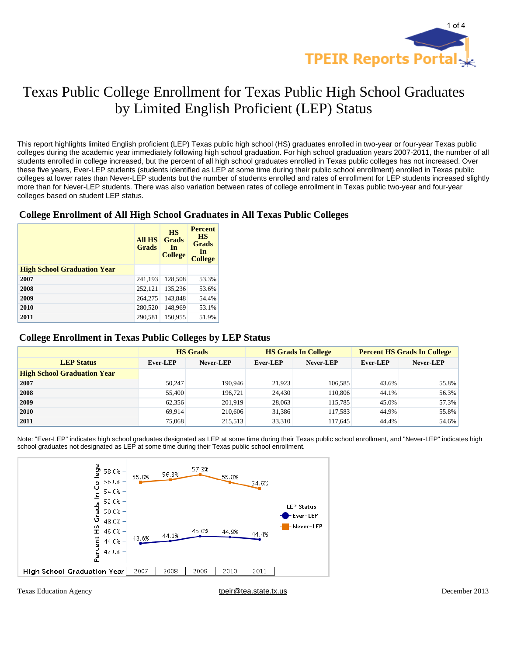

# Texas Public College Enrollment for Texas Public High School Graduates by Limited English Proficient (LEP) Status

This report highlights limited English proficient (LEP) Texas public high school (HS) graduates enrolled in two-year or four-year Texas public colleges during the academic year immediately following high school graduation. For high school graduation years 2007-2011, the number of all students enrolled in college increased, but the percent of all high school graduates enrolled in Texas public colleges has not increased. Over these five years, Ever-LEP students (students identified as LEP at some time during their public school enrollment) enrolled in Texas public colleges at lower rates than Never-LEP students but the number of students enrolled and rates of enrollment for LEP students increased slightly more than for Never-LEP students. There was also variation between rates of college enrollment in Texas public two-year and four-year colleges based on student LEP status.

### **College Enrollment of All High School Graduates in All Texas Public Colleges**

|                                    | <b>All HS</b><br><b>Grads</b> | <b>HS</b><br><b>Grads</b><br>In<br><b>College</b> | <b>Percent</b><br><b>HS</b><br>Grads<br>In<br><b>College</b> |
|------------------------------------|-------------------------------|---------------------------------------------------|--------------------------------------------------------------|
| <b>High School Graduation Year</b> |                               |                                                   |                                                              |
| 2007                               | 241,193                       | 128,508                                           | 53.3%                                                        |
| 2008                               | 252,121                       | 135.236                                           | 53.6%                                                        |
| 2009                               | 264,275                       | 143,848                                           | 54.4%                                                        |
| 2010                               | 280,520                       | 148,969                                           | 53.1%                                                        |
| 2011                               | 290,581                       | 150,955                                           | 51.9%                                                        |

#### **College Enrollment in Texas Public Colleges by LEP Status**

|                                    | <b>HS</b> Grads |           |                 | <b>HS Grads In College</b> | <b>Percent HS Grads In College</b> |           |
|------------------------------------|-----------------|-----------|-----------------|----------------------------|------------------------------------|-----------|
| <b>LEP Status</b>                  | <b>Ever-LEP</b> | Never-LEP | <b>Ever-LEP</b> | Never-LEP                  | Ever-LEP                           | Never-LEP |
| <b>High School Graduation Year</b> |                 |           |                 |                            |                                    |           |
| 2007                               | 50,247          | 190.946   | 21.923          | 106.585                    | 43.6%                              | 55.8%     |
| 2008                               | 55,400          | 196.721   | 24,430          | 110,806                    | 44.1%                              | 56.3%     |
| 2009                               | 62.356          | 201,919   | 28,063          | 115,785                    | 45.0%                              | 57.3%     |
| 2010                               | 69.914          | 210,606   | 31,386          | 117.583                    | 44.9%                              | 55.8%     |
| 2011                               | 75,068          | 215,513   | 33,310          | 117.645                    | 44.4%                              | 54.6%     |

Note: "Ever-LEP" indicates high school graduates designated as LEP at some time during their Texas public school enrollment, and "Never-LEP" indicates high school graduates not designated as LEP at some time during their Texas public school enrollment.



Texas Education Agency their exas Education Agency tpeir exas the text of the text of the text of the text of the text of the text of the text of the text of the text of the text of the text of the text of the text of the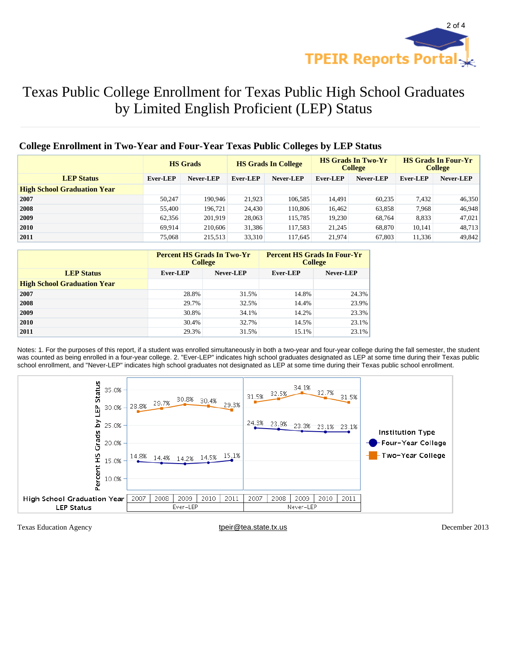

## Texas Public College Enrollment for Texas Public High School Graduates by Limited English Proficient (LEP) Status

### **College Enrollment in Two-Year and Four-Year Texas Public Colleges by LEP Status**

|                                    | <b>HS</b> Grads |           | <b>HS Grads In College</b> |           | <b>HS Grads In Two-Yr</b><br><b>College</b> |           | <b>HS Grads In Four-Yr</b><br><b>College</b> |           |
|------------------------------------|-----------------|-----------|----------------------------|-----------|---------------------------------------------|-----------|----------------------------------------------|-----------|
| <b>LEP Status</b>                  | Ever-LEP        | Never-LEP | Ever-LEP                   | Never-LEP | Ever-LEP                                    | Never-LEP | <b>Ever-LEP</b>                              | Never-LEP |
| <b>High School Graduation Year</b> |                 |           |                            |           |                                             |           |                                              |           |
| 2007                               | 50.247          | 190.946   | 21.923                     | 106,585   | 14.491                                      | 60,235    | 7,432                                        | 46,350    |
| 2008                               | 55,400          | 196,721   | 24,430                     | 110,806   | 16,462                                      | 63,858    | 7,968                                        | 46,948    |
| 2009                               | 62.356          | 201,919   | 28,063                     | 115,785   | 19,230                                      | 68,764    | 8,833                                        | 47,021    |
| 2010                               | 69.914          | 210,606   | 31,386                     | 117,583   | 21,245                                      | 68,870    | 10.141                                       | 48,713    |
| 2011                               | 75,068          | 215,513   | 33,310                     | 117,645   | 21,974                                      | 67,803    | 11,336                                       | 49,842    |

|                                    |                       | <b>Percent HS Grads In Two-Yr</b><br><b>College</b> | <b>Percent HS Grads In Four-Yr</b><br><b>College</b> |                  |  |
|------------------------------------|-----------------------|-----------------------------------------------------|------------------------------------------------------|------------------|--|
| <b>LEP Status</b>                  | Never-LEP<br>Ever-LEP |                                                     | <b>Ever-LEP</b>                                      | <b>Never-LEP</b> |  |
| <b>High School Graduation Year</b> |                       |                                                     |                                                      |                  |  |
| 2007                               | 28.8%                 | 31.5%                                               | 14.8%                                                | 24.3%            |  |
| 2008                               | 29.7%                 | 32.5%                                               | 14.4%                                                | 23.9%            |  |
| 2009                               | 30.8%                 | 34.1%                                               | 14.2%                                                | 23.3%            |  |
| 2010                               | 30.4%                 | 32.7%                                               | 14.5%                                                | $23.1\%$         |  |
| 2011                               | 29.3%                 | 31.5%                                               | 15.1%                                                | $23.1\%$         |  |

Notes: 1. For the purposes of this report, if a student was enrolled simultaneously in both a two-year and four-year college during the fall semester, the student was counted as being enrolled in a four-year college. 2. "Ever-LEP" indicates high school graduates designated as LEP at some time during their Texas public school enrollment, and "Never-LEP" indicates high school graduates not designated as LEP at some time during their Texas public school enrollment.



Texas Education Agency tpeir@tea.state.tx.us December 2013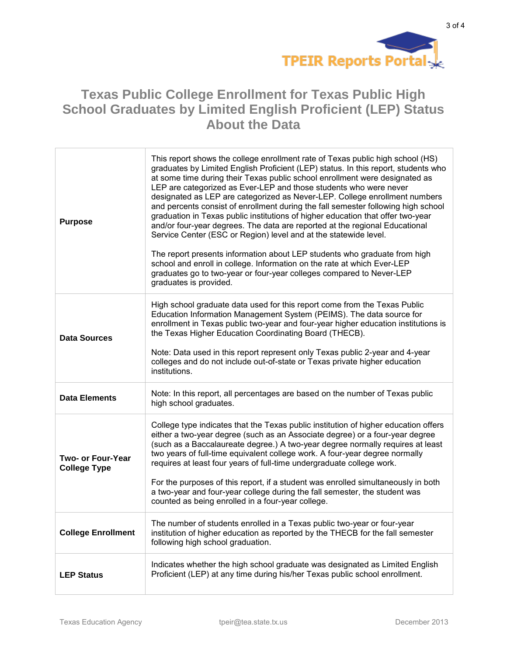

### **Texas Public College Enrollment for Texas Public High School Graduates by Limited English Proficient (LEP) Status About the Data**

| <b>Purpose</b>                           | This report shows the college enrollment rate of Texas public high school (HS)<br>graduates by Limited English Proficient (LEP) status. In this report, students who<br>at some time during their Texas public school enrollment were designated as<br>LEP are categorized as Ever-LEP and those students who were never<br>designated as LEP are categorized as Never-LEP. College enrollment numbers<br>and percents consist of enrollment during the fall semester following high school<br>graduation in Texas public institutions of higher education that offer two-year<br>and/or four-year degrees. The data are reported at the regional Educational<br>Service Center (ESC or Region) level and at the statewide level.<br>The report presents information about LEP students who graduate from high<br>school and enroll in college. Information on the rate at which Ever-LEP<br>graduates go to two-year or four-year colleges compared to Never-LEP<br>graduates is provided. |
|------------------------------------------|---------------------------------------------------------------------------------------------------------------------------------------------------------------------------------------------------------------------------------------------------------------------------------------------------------------------------------------------------------------------------------------------------------------------------------------------------------------------------------------------------------------------------------------------------------------------------------------------------------------------------------------------------------------------------------------------------------------------------------------------------------------------------------------------------------------------------------------------------------------------------------------------------------------------------------------------------------------------------------------------|
| <b>Data Sources</b>                      | High school graduate data used for this report come from the Texas Public<br>Education Information Management System (PEIMS). The data source for<br>enrollment in Texas public two-year and four-year higher education institutions is<br>the Texas Higher Education Coordinating Board (THECB).<br>Note: Data used in this report represent only Texas public 2-year and 4-year<br>colleges and do not include out-of-state or Texas private higher education<br>institutions.                                                                                                                                                                                                                                                                                                                                                                                                                                                                                                            |
| <b>Data Elements</b>                     | Note: In this report, all percentages are based on the number of Texas public<br>high school graduates.                                                                                                                                                                                                                                                                                                                                                                                                                                                                                                                                                                                                                                                                                                                                                                                                                                                                                     |
| Two- or Four-Year<br><b>College Type</b> | College type indicates that the Texas public institution of higher education offers<br>either a two-year degree (such as an Associate degree) or a four-year degree<br>(such as a Baccalaureate degree.) A two-year degree normally requires at least<br>two years of full-time equivalent college work. A four-year degree normally<br>requires at least four years of full-time undergraduate college work.<br>For the purposes of this report, if a student was enrolled simultaneously in both<br>a two-year and four-year college during the fall semester, the student was<br>counted as being enrolled in a four-year college.                                                                                                                                                                                                                                                                                                                                                       |
| <b>College Enrollment</b>                | The number of students enrolled in a Texas public two-year or four-year<br>institution of higher education as reported by the THECB for the fall semester<br>following high school graduation.                                                                                                                                                                                                                                                                                                                                                                                                                                                                                                                                                                                                                                                                                                                                                                                              |
| <b>LEP Status</b>                        | Indicates whether the high school graduate was designated as Limited English<br>Proficient (LEP) at any time during his/her Texas public school enrollment.                                                                                                                                                                                                                                                                                                                                                                                                                                                                                                                                                                                                                                                                                                                                                                                                                                 |